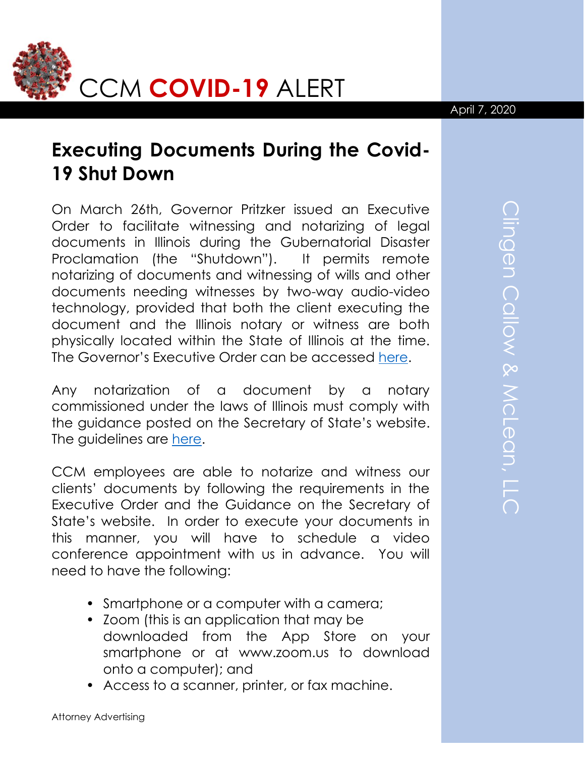

## April 7, 2020

## **Executing Documents During the Covid-19 Shut Down**

On March 26th, Governor Pritzker issued an Executive Order to facilitate witnessing and notarizing of legal documents in Illinois during the Gubernatorial Disaster Proclamation (the "Shutdown"). It permits remote notarizing of documents and witnessing of wills and other documents needing witnesses by two-way audio-video technology, provided that both the client executing the document and the Illinois notary or witness are both physically located within the State of Illinois at the time. The Governor's Executive Order can be accessed [here.](https://www2.illinois.gov/Pages/Executive-Orders/ExecutiveOrder2020-14.aspx)

Any notarization of a document by a notary commissioned under the laws of Illinois must comply with the guidance posted on the Secretary of State's website. The guidelines are [here.](https://www.cyberdriveillinois.com/departments/index/notary/electronicnotary0320.pdf)

CCM employees are able to notarize and witness our clients' documents by following the requirements in the Executive Order and the Guidance on the Secretary of State's website. In order to execute your documents in this manner, you will have to schedule a video conference appointment with us in advance. You will need to have the following:

- Smartphone or a computer with a camera;
- Zoom (this is an application that may be downloaded from the App Store on your smartphone or at www.zoom.us to download onto a computer); and
- Access to a scanner, printer, or fax machine.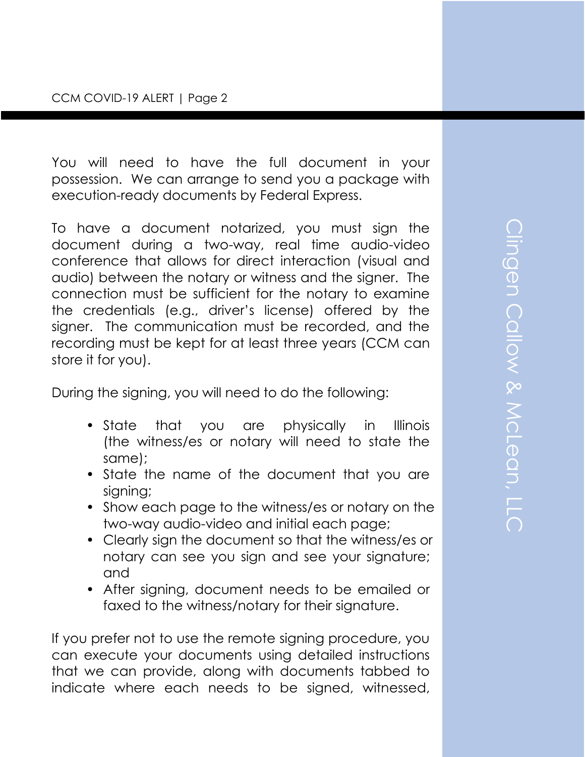You will need to have the full document in your possession. We can arrange to send you a package with execution-ready documents by Federal Express.

To have a document notarized, you must sign the document during a two-way, real time audio-video conference that allows for direct interaction (visual and audio) between the notary or witness and the signer. The connection must be sufficient for the notary to examine the credentials (e.g., driver's license) offered by the signer. The communication must be recorded, and the recording must be kept for at least three years (CCM can store it for you).

During the signing, you will need to do the following:

- State that you are physically in Illinois (the witness/es or notary will need to state the same);
- State the name of the document that you are signing;
- Show each page to the witness/es or notary on the two-way audio-video and initial each page;
- Clearly sign the document so that the witness/es or notary can see you sign and see your signature; and
- After signing, document needs to be emailed or faxed to the witness/notary for their signature.

If you prefer not to use the remote signing procedure, you can execute your documents using detailed instructions that we can provide, along with documents tabbed to indicate where each needs to be signed, witnessed,